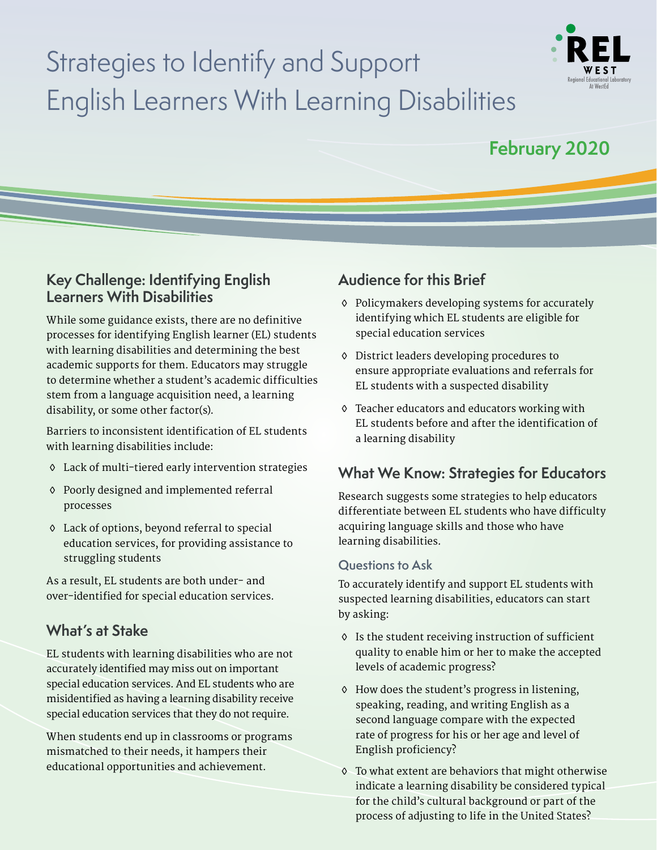# Strategies to Identify and Support English Learners With Learning Disabilities



## **February 2020**

## **Key Challenge: Identifying English Learners With Disabilities**

While some guidance exists, there are no definitive processes for identifying English learner (EL) students with learning disabilities and determining the best academic supports for them. Educators may struggle to determine whether a student's academic difficulties stem from a language acquisition need, a learning disability, or some other factor(s).

Barriers to inconsistent identification of EL students with learning disabilities include:

- Lack of multi-tiered early intervention strategies
- Poorly designed and implemented referral processes
- Lack of options, beyond referral to special education services, for providing assistance to struggling students

As a result, EL students are both under- and over-identified for special education services.

## **What's at Stake**

EL students with learning disabilities who are not accurately identified may miss out on important special education services. And EL students who are misidentified as having a learning disability receive special education services that they do not require.

When students end up in classrooms or programs mismatched to their needs, it hampers their educational opportunities and achievement.

## **Audience for this Brief**

- Policymakers developing systems for accurately identifying which EL students are eligible for special education services
- District leaders developing procedures to ensure appropriate evaluations and referrals for EL students with a suspected disability
- Teacher educators and educators working with EL students before and after the identification of a learning disability

## **What We Know: Strategies for Educators**

Research suggests some strategies to help educators differentiate between EL students who have difficulty acquiring language skills and those who have learning disabilities.

### **Questions to Ask**

To accurately identify and support EL students with suspected learning disabilities, educators can start by asking:

- Is the student receiving instruction of sufficient quality to enable him or her to make the accepted levels of academic progress?
- How does the student's progress in listening, speaking, reading, and writing English as a second language compare with the expected rate of progress for his or her age and level of English proficiency?
- To what extent are behaviors that might otherwise indicate a learning disability be considered typical for the child's cultural background or part of the process of adjusting to life in the United States?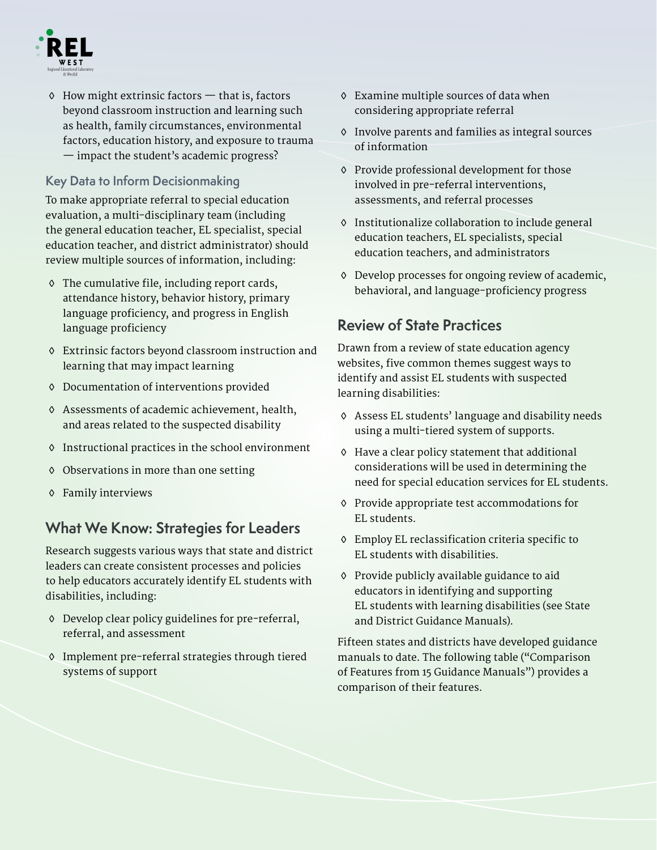

 $\Diamond$  How might extrinsic factors  $-$  that is, factors beyond classroom instruction and learning such as health, family circumstances, environmental factors, education history, and exposure to trauma — impact the student's academic progress?

### **Key Data to Inform Decisionmaking**

To make appropriate referral to special education evaluation, a multi-disciplinary team (including the general education teacher, EL specialist, special education teacher, and district administrator) should review multiple sources of information, including:

- The cumulative file, including report cards, attendance history, behavior history, primary language proficiency, and progress in English language proficiency
- Extrinsic factors beyond classroom instruction and learning that may impact learning
- Documentation of interventions provided
- Assessments of academic achievement, health, and areas related to the suspected disability
- Instructional practices in the school environment
- Observations in more than one setting
- Family interviews

## **What We Know: Strategies for Leaders**

Research suggests various ways that state and district leaders can create consistent processes and policies to help educators accurately identify EL students with disabilities, including:

- Develop clear policy guidelines for pre-referral, referral, and assessment
- Implement pre-referral strategies through tiered systems of support
- Examine multiple sources of data when considering appropriate referral
- Involve parents and families as integral sources of information
- Provide professional development for those involved in pre-referral interventions, assessments, and referral processes
- Institutionalize collaboration to include general education teachers, EL specialists, special education teachers, and administrators
- Develop processes for ongoing review of academic, behavioral, and language-proficiency progress

## **Review of State Practices**

Drawn from a review of state education agency websites, five common themes suggest ways to identify and assist EL students with suspected learning disabilities:

- Assess EL students' language and disability needs using a multi-tiered system of supports.
- Have a clear policy statement that additional considerations will be used in determining the need for special education services for EL students.
- Provide appropriate test accommodations for EL students.
- Employ EL reclassification criteria specific to EL students with disabilities.
- Provide publicly available guidance to aid educators in identifying and supporting EL students with learning disabilities (see State and District Guidance Manuals).

Fifteen states and districts have developed guidance manuals to date. The following table ("Comparison of Features from 15 Guidance Manuals") provides a comparison of their features.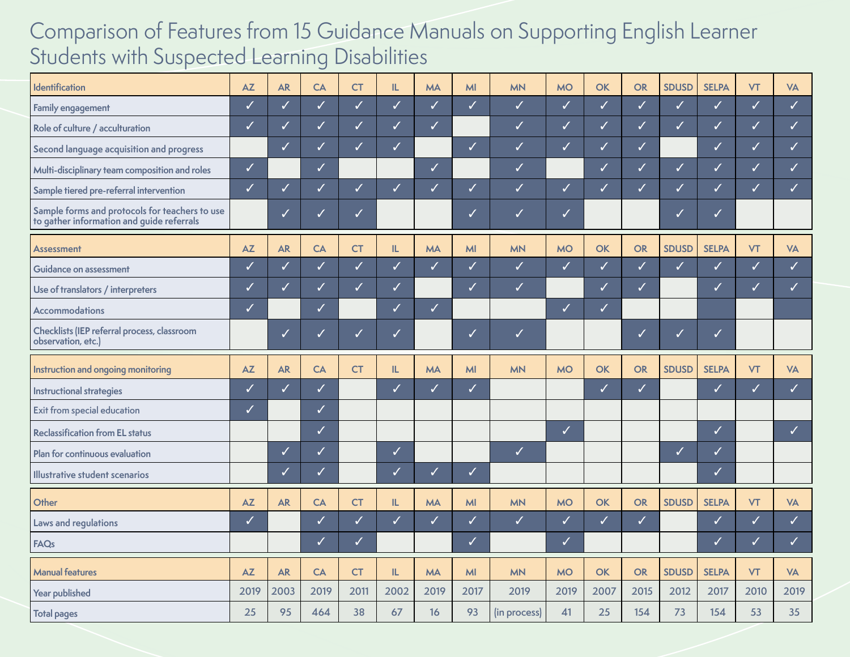## Comparison of Features from 15 Guidance Manuals on Supporting English Learner Students with Suspected Learning Disabilities

| Identification                                                                              | AZ           | <b>AR</b>    | CA           | СT           | IL           | <b>MA</b>    | <b>MI</b>    | <b>MN</b>    | <b>MO</b>    | <b>OK</b>    | OR           | <b>SDUSD</b> | <b>SELPA</b> | <b>VT</b>    | <b>VA</b>                |
|---------------------------------------------------------------------------------------------|--------------|--------------|--------------|--------------|--------------|--------------|--------------|--------------|--------------|--------------|--------------|--------------|--------------|--------------|--------------------------|
| Family engagement                                                                           | ✓            | ✓            | ✓            | $\checkmark$ | $\checkmark$ | $\checkmark$ | $\checkmark$ | $\checkmark$ | $\checkmark$ | $\checkmark$ | $\checkmark$ | $\checkmark$ | $\checkmark$ | $\checkmark$ | $\checkmark$             |
| Role of culture / acculturation                                                             | ✓            | $\checkmark$ | $\checkmark$ | $\checkmark$ | $\checkmark$ | $\checkmark$ |              | ✓            | $\checkmark$ | $\checkmark$ | $\checkmark$ | $\checkmark$ | ✓            | $\checkmark$ | $\checkmark$             |
| Second language acquisition and progress                                                    |              | $\checkmark$ | $\sqrt{}$    | $\checkmark$ | $\checkmark$ |              | $\checkmark$ |              | $\checkmark$ |              | $\checkmark$ |              | ✓            | $\checkmark$ | $\overline{\mathcal{L}}$ |
| Multi-disciplinary team composition and roles                                               | $\checkmark$ |              | $\checkmark$ |              |              | $\checkmark$ |              | $\checkmark$ |              | $\checkmark$ | $\checkmark$ | $\checkmark$ | $\checkmark$ | $\checkmark$ | $\overline{\mathcal{L}}$ |
| Sample tiered pre-referral intervention                                                     | $\checkmark$ | ✓            | $\checkmark$ | $\checkmark$ | ✓            | ✓            | ✓            |              | ✓            |              | ✓            | $\checkmark$ | ✓            | $\checkmark$ | $\checkmark$             |
| Sample forms and protocols for teachers to use<br>to gather information and guide referrals |              | ✓            | ✓            | ✓            |              |              | ✓            | $\checkmark$ | ✓            |              |              | ✓            | ✓            |              |                          |
| <b>Assessment</b>                                                                           | AZ           | <b>AR</b>    | CA           | <b>CT</b>    | IL.          | <b>MA</b>    | MI           | <b>MN</b>    | <b>MO</b>    | OK           | OR           | <b>SDUSD</b> | <b>SELPA</b> | <b>VT</b>    | <b>VA</b>                |
| Guidance on assessment                                                                      | ✓            | $\checkmark$ | $\checkmark$ | $\checkmark$ | $\checkmark$ | $\checkmark$ | $\checkmark$ | $\checkmark$ | $\checkmark$ | $\checkmark$ | $\checkmark$ | $\checkmark$ | $\checkmark$ | $\checkmark$ | $\checkmark$             |
| Use of translators / interpreters                                                           | $\checkmark$ | $\checkmark$ | $\checkmark$ | $\checkmark$ | $\checkmark$ |              | $\checkmark$ | $\checkmark$ |              | $\checkmark$ | $\checkmark$ |              | ✓            | $\checkmark$ |                          |
| <b>Accommodations</b>                                                                       | ✓            |              | $\checkmark$ |              | $\checkmark$ | $\checkmark$ |              |              | $\checkmark$ |              |              |              |              |              |                          |
| Checklists (IEP referral process, classroom<br>observation, etc.)                           |              | ✓            | ✓            | ✓            | ✓            |              | ✓            | $\checkmark$ |              |              | ✓            | ✓            | ✓            |              |                          |
| Instruction and ongoing monitoring                                                          | AZ           | <b>AR</b>    | <b>CA</b>    | <b>CT</b>    | IL.          | <b>MA</b>    | MI           | <b>MN</b>    | <b>MO</b>    | OK           | OR           | <b>SDUSD</b> | <b>SELPA</b> | <b>VT</b>    | <b>VA</b>                |
| Instructional strategies                                                                    | ✓            | $\checkmark$ | $\checkmark$ |              | $\checkmark$ | ✓            | $\checkmark$ |              |              | $\checkmark$ | $\checkmark$ |              | ✓            | $\checkmark$ | $\checkmark$             |
| Exit from special education                                                                 | ✓            |              | $\checkmark$ |              |              |              |              |              |              |              |              |              |              |              |                          |
| <b>Reclassification from EL status</b>                                                      |              |              | $\checkmark$ |              |              |              |              |              | $\checkmark$ |              |              |              | ✓            |              | ✓                        |
| Plan for continuous evaluation                                                              |              | $\checkmark$ | $\checkmark$ |              | $\checkmark$ |              |              | $\checkmark$ |              |              |              | $\checkmark$ | ✓            |              |                          |
| Illustrative student scenarios                                                              |              | $\checkmark$ | $\checkmark$ |              | $\checkmark$ | ✓            | $\checkmark$ |              |              |              |              |              | ✓            |              |                          |
| Other                                                                                       | <b>AZ</b>    | <b>AR</b>    | <b>CA</b>    | <b>CT</b>    | IL.          | <b>MA</b>    | MI           | <b>MN</b>    | <b>MO</b>    | OK           | OR           | <b>SDUSD</b> | <b>SELPA</b> | <b>VT</b>    | <b>VA</b>                |
| Laws and regulations                                                                        | ✓            |              | ✓            | $\checkmark$ | ✓            | $\checkmark$ | $\checkmark$ | $\checkmark$ | $\checkmark$ |              | $\checkmark$ |              | ✓            | ✓            | $\checkmark$             |
| <b>FAQs</b>                                                                                 |              |              | ✓            | $\checkmark$ |              |              | $\checkmark$ |              | $\checkmark$ |              |              |              | ✓            | ✓            |                          |
| <b>Manual features</b>                                                                      | AZ           | <b>AR</b>    | CA           | <b>CT</b>    | IL.          | <b>MA</b>    | MI           | <b>MN</b>    | <b>MO</b>    | OK           | OR           | <b>SDUSD</b> | <b>SELPA</b> | <b>VT</b>    | <b>VA</b>                |
| Year published                                                                              | 2019         | 2003         | 2019         | 2011         | 2002         | 2019         | 2017         | 2019         | 2019         | 2007         | 2015         | 2012         | 2017         | 2010         | 2019                     |
| <b>Total pages</b>                                                                          | 25           | 95           | 464          | 38           | 67           | 16           | 93           | (in process) | 41           | 25           | 154          | 73           | 154          | 53           | 35                       |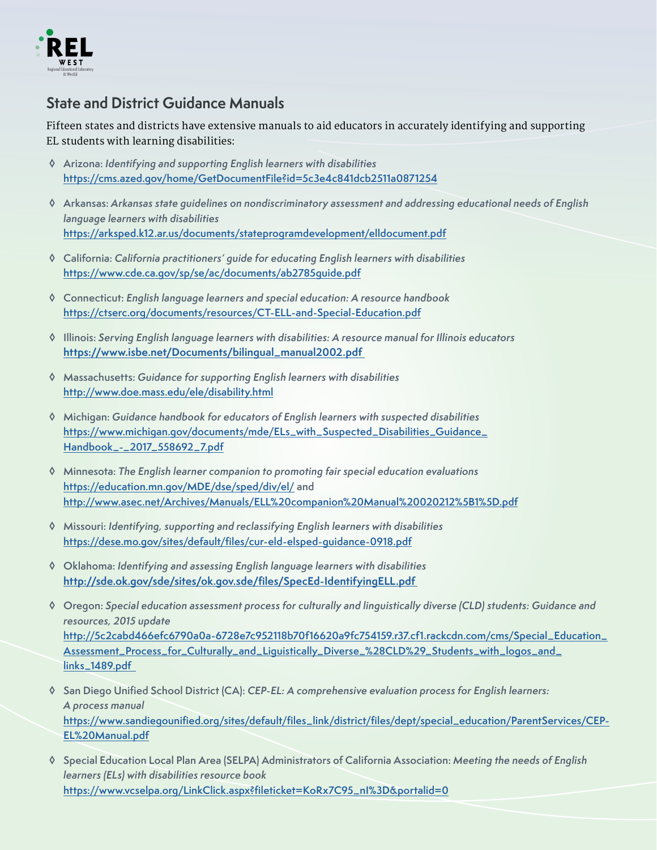

## **State and District Guidance Manuals**

Fifteen states and districts have extensive manuals to aid educators in accurately identifying and supporting EL students with learning disabilities:

- **Arizona:** Identifying and supporting English learners with disabilities **<https://cms.azed.gov/home/GetDocumentFile?id=5c3e4c841dcb2511a0871254>**
- **Arkansas:** Arkansas state guidelines on nondiscriminatory assessment and addressing educational needs of English language learners with disabilities **<https://arksped.k12.ar.us/documents/stateprogramdevelopment/elldocument.pdf>**
- **California:** California practitioners' guide for educating English learners with disabilities **<https://www.cde.ca.gov/sp/se/ac/documents/ab2785guide.pdf>**
- **Connecticut:** English language learners and special education: A resource handbook **<https://ctserc.org/documents/resources/CT-ELL-and-Special-Education.pdf>**
- **Illinois:** Serving English language learners with disabilities: A resource manual for Illinois educators **[https://www.isbe.net/Documents/bilingual\\_manual2002.pdf](https://www.isbe.net/Documents/bilingual_manual2002.pdf)**
- **Massachusetts:** Guidance for supporting English learners with disabilities **<http://www.doe.mass.edu/ele/disability.html>**
- **Michigan:** Guidance handbook for educators of English learners with suspected disabilities **[https://www.michigan.gov/documents/mde/ELs\\_with\\_Suspected\\_Disabilities\\_Guidance\\_](https://www.michigan.gov/documents/mde/ELs_with_Suspected_Disabilities_Guidance_Handbook_-_2017_558692_7.pdf) Handbook\_-\_2017\_558692\_7.pdf**
- **Minnesota:** The English learner companion to promoting fair special education evaluations **<https://education.mn.gov/MDE/dse/sped/div/el/>and <http://www.asec.net/Archives/Manuals/ELL%20companion%20Manual%20020212%5B1%5D.pdf>**
- **Missouri:** Identifying, supporting and reclassifying English learners with disabilities **[https://dese.mo.gov/sites/default/fles/cur-eld-elsped-guidance-0918.pdf](https://dese.mo.gov/sites/default/files/cur-eld-elsped-guidance-0918.pdf)**
- **Oklahoma:** Identifying and assessing English language learners with disabilities **[http://sde.ok.gov/sde/sites/ok.gov.sde/fles/SpecEd-IdentifyingELL.pdf](http://sde.ok.gov/sde/sites/ok.gov.sde/files/SpecEd-IdentifyingELL.pdf)**
- **Oregon:** Special education assessment process for culturally and linguistically diverse (CLD) students: Guidance and resources, 2015 update **[http://5c2cabd466efc6790a0a-6728e7c952118b70f16620a9fc754159.r37.cf1.rackcdn.com/cms/Special\\_Education\\_](http://5c2cabd466efc6790a0a-6728e7c952118b70f16620a9fc754159.r37.cf1.rackcdn.com/cms/Special_Education_) Assessment\_Process\_for\_Culturally\_and\_Liguistically\_Diverse\_%28CLD%29\_Students\_with\_logos\_and\_ links\_1489.pdf**
- **San Diego Unifed School District (CA):** CEP-EL: A comprehensive evaluation process for English learners: A process manual **[https://www.sandiegounifed.org/sites/default/fles\\_link/district/fles/dept/special\\_education/ParentServices/CEP-](https://www.sandiegounified.org/sites/default/files_link/district/files/dept/special_education/ParentServices/CEPEL%20Manual.pdf)EL%20Manual.pdf**
- **Special Education Local Plan Area (SELPA) Administrators of California Association:** Meeting the needs of English learners (ELs) with disabilities resource book **[https://www.vcselpa.org/LinkClick.aspx?fleticket=KoRx7C95\\_nI%3D&portalid=0](https://www.vcselpa.org/LinkClick.aspx?fileticket=KoRx7C95_nI%3D&portalid=0)**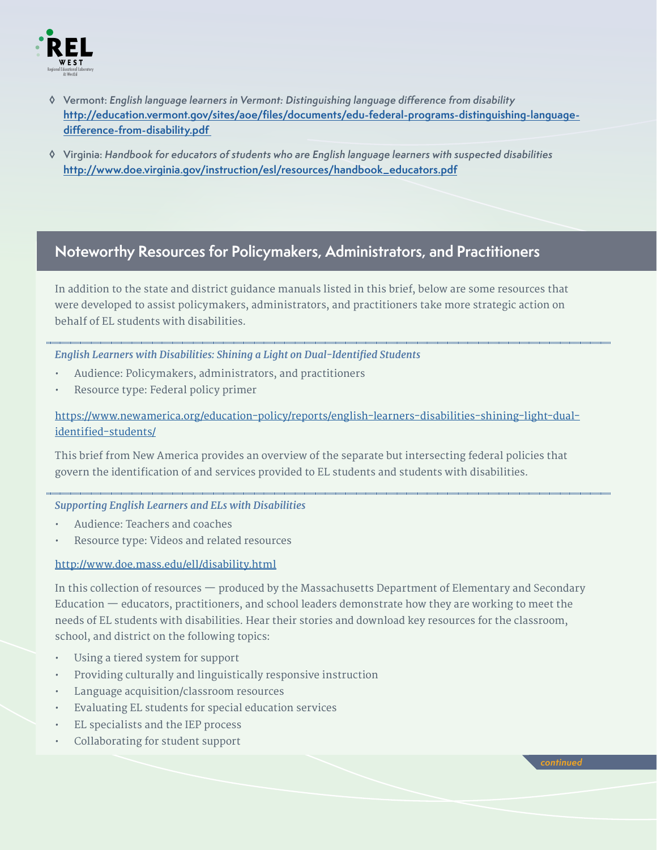

- **Vermont:** English language learners in Vermont: Distinguishing language diference from disability **[http://education.vermont.gov/sites/aoe/fles/documents/edu-federal-programs-distinguishing-language](http://education.vermont.gov/sites/aoe/files/documents/edu-federal-programs-distinguishing-language-difference-from-disability.pdf)diference-from-disability.pdf**
- **Virginia:** Handbook for educators of students who are English language learners with suspected disabilities **[http://www.doe.virginia.gov/instruction/esl/resources/handbook\\_educators.pdf](http://www.doe.virginia.gov/instruction/esl/resources/handbook_educators.pdf)**

## **Noteworthy Resources for Policymakers, Administrators, and Practitioners**

In addition to the state and district guidance manuals listed in this brief, below are some resources that were developed to assist policymakers, administrators, and practitioners take more strategic action on behalf of EL students with disabilities.

### *English Learners with Disabilities: Shining a Light on Dual-Identifed Students*

- Audience: Policymakers, administrators, and practitioners
- Resource type: Federal policy primer

[https://www.newamerica.org/education-policy/reports/english-learners-disabilities-shining-light-dual](https://www.newamerica.org/education-policy/reports/english-learners-disabilities-shining-light-dual-identified-students/)identified-students/

This brief from New America provides an overview of the separate but intersecting federal policies that govern the identification of and services provided to EL students and students with disabilities.

### *Supporting English Learners and ELs with Disabilities*

- Audience: Teachers and coaches
- Resource type: Videos and related resources

### <http://www.doe.mass.edu/ell/disability.html>

In this collection of resources — produced by the Massachusetts Department of Elementary and Secondary Education — educators, practitioners, and school leaders demonstrate how they are working to meet the needs of EL students with disabilities. Hear their stories and download key resources for the classroom, school, and district on the following topics:

- Using a tiered system for support
- Providing culturally and linguistically responsive instruction
- Language acquisition/classroom resources
- Evaluating EL students for special education services
- EL specialists and the IEP process
- Collaborating for student support